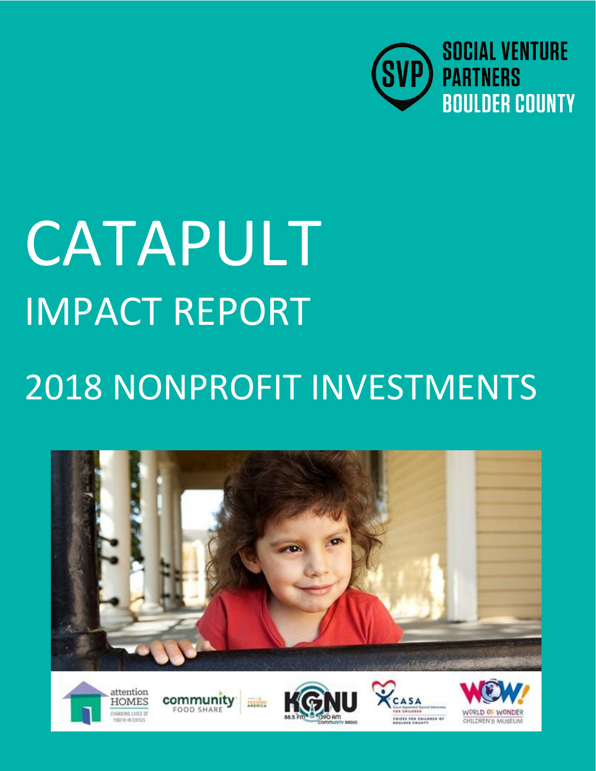

# CATAPULT IMPACT REPORT

# 2018 NONPROFIT INVESTMENTS











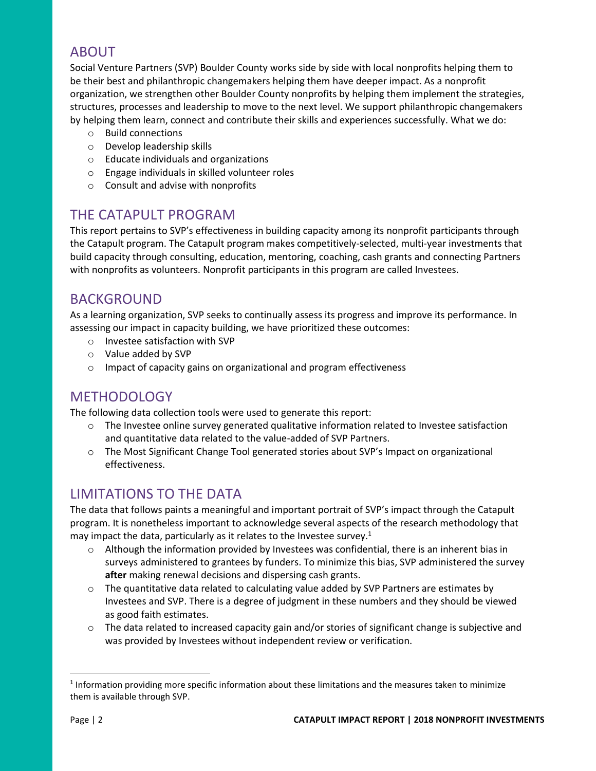### ABOUT

Social Venture Partners (SVP) Boulder County works side by side with local nonprofits helping them to be their best and philanthropic changemakers helping them have deeper impact. As a nonprofit organization, we strengthen other Boulder County nonprofits by helping them implement the strategies, structures, processes and leadership to move to the next level. We support philanthropic changemakers by helping them learn, connect and contribute their skills and experiences successfully. What we do:

- o Build connections
- o Develop leadership skills
- o Educate individuals and organizations
- o Engage individuals in skilled volunteer roles
- o Consult and advise with nonprofits

#### THE CATAPULT PROGRAM

This report pertains to SVP's effectiveness in building capacity among its nonprofit participants through the Catapult program. The Catapult program makes competitively-selected, multi-year investments that build capacity through consulting, education, mentoring, coaching, cash grants and connecting Partners with nonprofits as volunteers. Nonprofit participants in this program are called Investees.

#### BACKGROUND

As a learning organization, SVP seeks to continually assess its progress and improve its performance. In assessing our impact in capacity building, we have prioritized these outcomes:

- o Investee satisfaction with SVP
- o Value added by SVP
- o Impact of capacity gains on organizational and program effectiveness

#### **METHODOLOGY**

The following data collection tools were used to generate this report:

- $\circ$  The Investee online survey generated qualitative information related to Investee satisfaction and quantitative data related to the value-added of SVP Partners.
- o The Most Significant Change Tool generated stories about SVP's Impact on organizational effectiveness.

#### LIMITATIONS TO THE DATA

The data that follows paints a meaningful and important portrait of SVP's impact through the Catapult program. It is nonetheless important to acknowledge several aspects of the research methodology that may impact the data, particularly as it relates to the Investee survey.<sup>1</sup>

- $\circ$  Although the information provided by Investees was confidential, there is an inherent bias in surveys administered to grantees by funders. To minimize this bias, SVP administered the survey **after** making renewal decisions and dispersing cash grants.
- $\circ$  The quantitative data related to calculating value added by SVP Partners are estimates by Investees and SVP. There is a degree of judgment in these numbers and they should be viewed as good faith estimates.
- $\circ$  The data related to increased capacity gain and/or stories of significant change is subjective and was provided by Investees without independent review or verification.

 $\overline{a}$ 

 $<sup>1</sup>$  Information providing more specific information about these limitations and the measures taken to minimize</sup> them is available through SVP.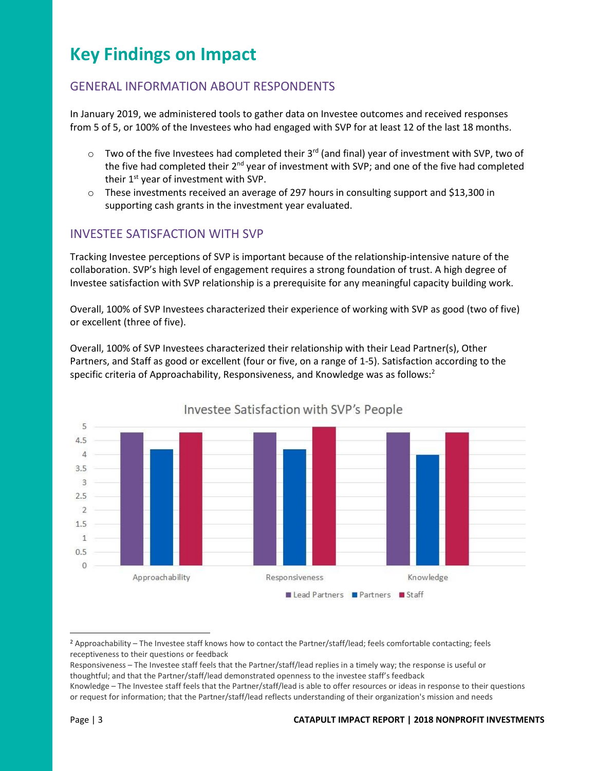## **Key Findings on Impact**

#### GENERAL INFORMATION ABOUT RESPONDENTS

In January 2019, we administered tools to gather data on Investee outcomes and received responses from 5 of 5, or 100% of the Investees who had engaged with SVP for at least 12 of the last 18 months.

- $\circ$  Two of the five Investees had completed their 3<sup>rd</sup> (and final) year of investment with SVP, two of the five had completed their 2<sup>nd</sup> year of investment with SVP; and one of the five had completed their 1<sup>st</sup> year of investment with SVP.
- $\circ$  These investments received an average of 297 hours in consulting support and \$13,300 in supporting cash grants in the investment year evaluated.

#### INVESTEE SATISFACTION WITH SVP

Tracking Investee perceptions of SVP is important because of the relationship-intensive nature of the collaboration. SVP's high level of engagement requires a strong foundation of trust. A high degree of Investee satisfaction with SVP relationship is a prerequisite for any meaningful capacity building work.

Overall, 100% of SVP Investees characterized their experience of working with SVP as good (two of five) or excellent (three of five).

Overall, 100% of SVP Investees characterized their relationship with their Lead Partner(s), Other Partners, and Staff as good or excellent (four or five, on a range of 1-5). Satisfaction according to the specific criteria of Approachability, Responsiveness, and Knowledge was as follows:<sup>2</sup>



Investee Satisfaction with SVP's People

 $\overline{a}$ 

<sup>&</sup>lt;sup>2</sup> Approachability – The Investee staff knows how to contact the Partner/staff/lead; feels comfortable contacting; feels receptiveness to their questions or feedback

Responsiveness – The Investee staff feels that the Partner/staff/lead replies in a timely way; the response is useful or thoughtful; and that the Partner/staff/lead demonstrated openness to the investee staff's feedback

Knowledge – The Investee staff feels that the Partner/staff/lead is able to offer resources or ideas in response to their questions or request for information; that the Partner/staff/lead reflects understanding of their organization's mission and needs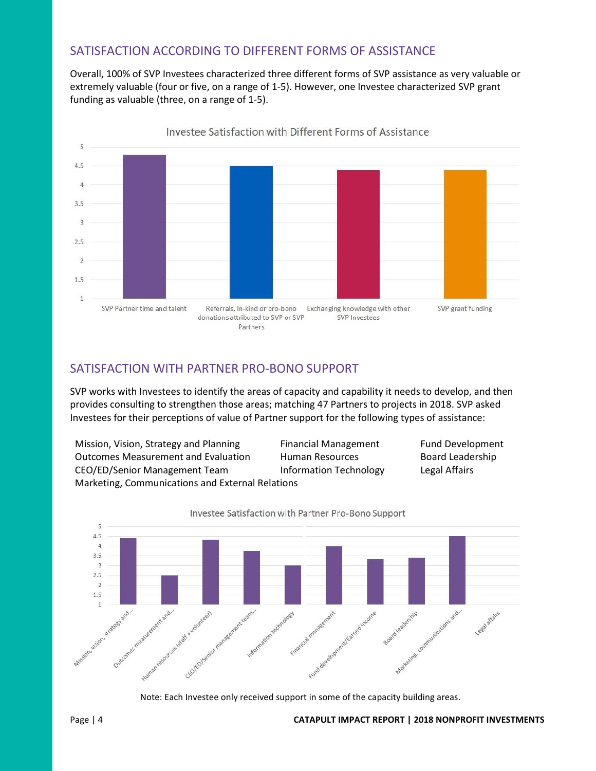#### SATISFACTION ACCORDING TO DIFFERENT FORMS OF ASSISTANCE

Overall, 100% of SVP Investees characterized three different forms of SVP assistance as very valuable or extremely valuable (four or five, on a range of 1-5). However, one Investee characterized SVP grant funding as valuable (three, on a range of 1-5).



SATISFACTION WITH PARTNER PRO-BONO SUPPORT

SVP works with Investees to identify the areas of capacity and capability it needs to develop, and then provides consulting to strengthen those areas; matching 47 Partners to projects in 2018. SVP asked Investees for their perceptions of value of Partner support for the following types of assistance:

Mission, Vision, Strategy and Planning Financial Management Fund Development Outcomes Measurement and Evaluation Human Resources Board Leadership CEO/ED/Senior Management Team Information Technology Legal Affairs Marketing, Communications and External Relations



Note: Each Investee only received support in some of the capacity building areas.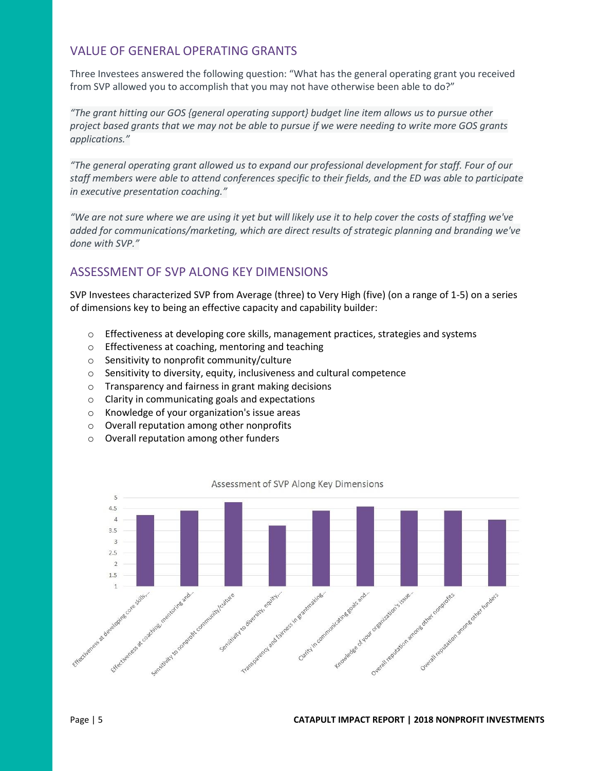#### VALUE OF GENERAL OPERATING GRANTS

Three Investees answered the following question: "What has the general operating grant you received from SVP allowed you to accomplish that you may not have otherwise been able to do?"

*"The grant hitting our GOS {general operating support} budget line item allows us to pursue other project based grants that we may not be able to pursue if we were needing to write more GOS grants applications."*

*"The general operating grant allowed us to expand our professional development for staff. Four of our staff members were able to attend conferences specific to their fields, and the ED was able to participate in executive presentation coaching."*

*"We are not sure where we are using it yet but will likely use it to help cover the costs of staffing we've added for communications/marketing, which are direct results of strategic planning and branding we've done with SVP."*

#### ASSESSMENT OF SVP ALONG KEY DIMENSIONS

SVP Investees characterized SVP from Average (three) to Very High (five) (on a range of 1-5) on a series of dimensions key to being an effective capacity and capability builder:

- $\circ$  Effectiveness at developing core skills, management practices, strategies and systems
- o Effectiveness at coaching, mentoring and teaching
- o Sensitivity to nonprofit community/culture
- o Sensitivity to diversity, equity, inclusiveness and cultural competence
- o Transparency and fairness in grant making decisions
- o Clarity in communicating goals and expectations
- o Knowledge of your organization's issue areas
- o Overall reputation among other nonprofits
- o Overall reputation among other funders



Assessment of SVP Along Key Dimensions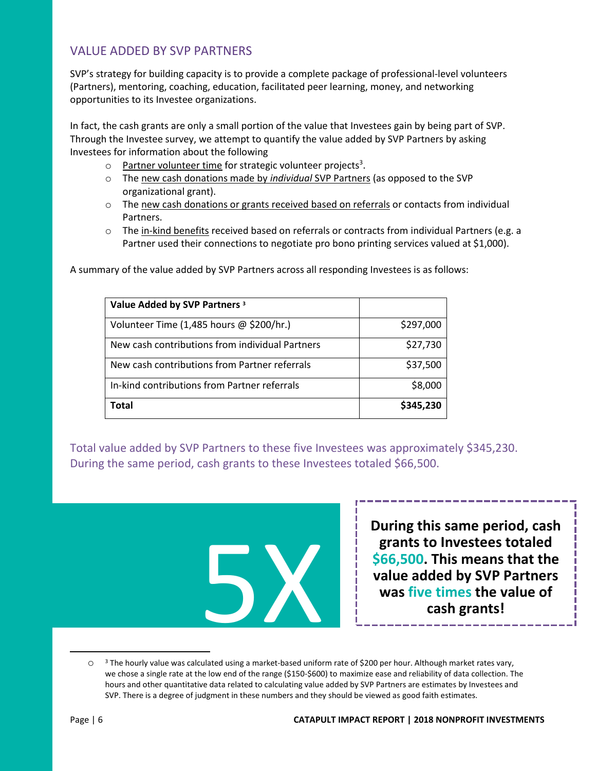#### VALUE ADDED BY SVP PARTNERS

SVP's strategy for building capacity is to provide a complete package of professional-level volunteers (Partners), mentoring, coaching, education, facilitated peer learning, money, and networking opportunities to its Investee organizations.

In fact, the cash grants are only a small portion of the value that Investees gain by being part of SVP. Through the Investee survey, we attempt to quantify the value added by SVP Partners by asking Investees for information about the following

- o Partner volunteer time for strategic volunteer projects<sup>3</sup>.
- o The new cash donations made by *individual* SVP Partners (as opposed to the SVP organizational grant).
- $\circ$  The new cash donations or grants received based on referrals or contacts from individual Partners.
- $\circ$  The in-kind benefits received based on referrals or contracts from individual Partners (e.g. a Partner used their connections to negotiate pro bono printing services valued at \$1,000).

| Value Added by SVP Partners 3                   | \$297,000 |
|-------------------------------------------------|-----------|
| Volunteer Time (1,485 hours @ \$200/hr.)        |           |
| New cash contributions from individual Partners | \$27,730  |
| New cash contributions from Partner referrals   | \$37,500  |
| In-kind contributions from Partner referrals    | \$8,000   |
| Total                                           | \$345,230 |

A summary of the value added by SVP Partners across all responding Investees is as follows:

Total value added by SVP Partners to these five Investees was approximately \$345,230. During the same period, cash grants to these Investees totaled \$66,500.



**During this same period, cash grants to Investees totaled \$66,500. This means that the value added by SVP Partners was five times the value of cash grants!**

 $\overline{a}$ 

 $\circ$  3 The hourly value was calculated using a market-based uniform rate of \$200 per hour. Although market rates vary, we chose a single rate at the low end of the range (\$150-\$600) to maximize ease and reliability of data collection. The hours and other quantitative data related to calculating value added by SVP Partners are estimates by Investees and SVP. There is a degree of judgment in these numbers and they should be viewed as good faith estimates.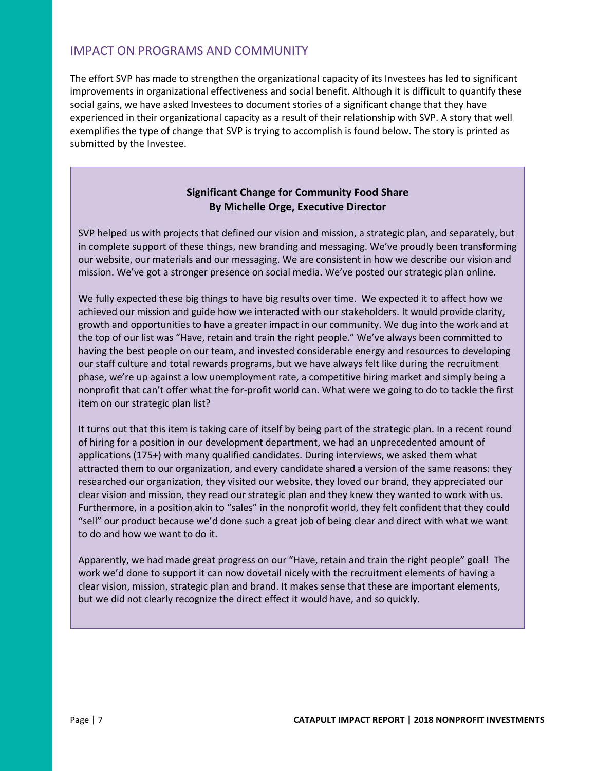#### IMPACT ON PROGRAMS AND COMMUNITY

The effort SVP has made to strengthen the organizational capacity of its Investees has led to significant improvements in organizational effectiveness and social benefit. Although it is difficult to quantify these social gains, we have asked Investees to document stories of a significant change that they have experienced in their organizational capacity as a result of their relationship with SVP. A story that well exemplifies the type of change that SVP is trying to accomplish is found below. The story is printed as submitted by the Investee.

#### **Significant Change for Community Food Share By Michelle Orge, Executive Director**

SVP helped us with projects that defined our vision and mission, a strategic plan, and separately, but in complete support of these things, new branding and messaging. We've proudly been transforming our website, our materials and our messaging. We are consistent in how we describe our vision and mission. We've got a stronger presence on social media. We've posted our strategic plan online.

We fully expected these big things to have big results over time. We expected it to affect how we achieved our mission and guide how we interacted with our stakeholders. It would provide clarity, growth and opportunities to have a greater impact in our community. We dug into the work and at the top of our list was "Have, retain and train the right people." We've always been committed to having the best people on our team, and invested considerable energy and resources to developing our staff culture and total rewards programs, but we have always felt like during the recruitment phase, we're up against a low unemployment rate, a competitive hiring market and simply being a nonprofit that can't offer what the for-profit world can. What were we going to do to tackle the first item on our strategic plan list?

It turns out that this item is taking care of itself by being part of the strategic plan. In a recent round of hiring for a position in our development department, we had an unprecedented amount of applications (175+) with many qualified candidates. During interviews, we asked them what attracted them to our organization, and every candidate shared a version of the same reasons: they researched our organization, they visited our website, they loved our brand, they appreciated our clear vision and mission, they read our strategic plan and they knew they wanted to work with us. Furthermore, in a position akin to "sales" in the nonprofit world, they felt confident that they could "sell" our product because we'd done such a great job of being clear and direct with what we want to do and how we want to do it.

Apparently, we had made great progress on our "Have, retain and train the right people" goal! The work we'd done to support it can now dovetail nicely with the recruitment elements of having a clear vision, mission, strategic plan and brand. It makes sense that these are important elements, but we did not clearly recognize the direct effect it would have, and so quickly.